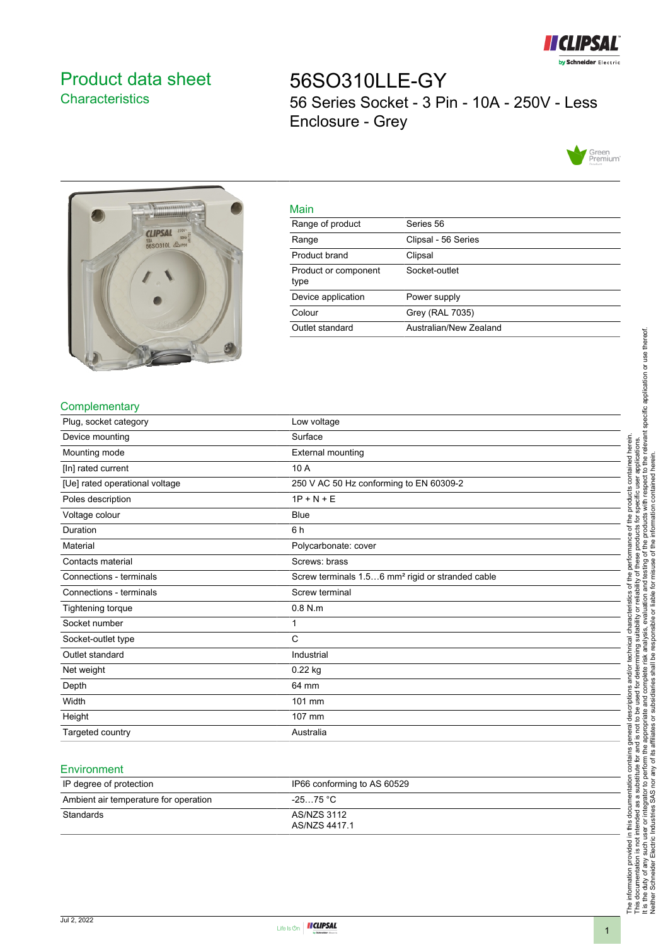

# <span id="page-0-0"></span>Product data sheet **Characteristics**

56SO310LLE-GY 56 Series Socket - 3 Pin - 10A - 250V - Less Enclosure - Grey





|     | ۹ |
|-----|---|
| ___ |   |

| <u>Main</u>                  |                        |
|------------------------------|------------------------|
| Range of product             | Series 56              |
| Range                        | Clipsal - 56 Series    |
| Product brand                | Clipsal                |
| Product or component<br>type | Socket-outlet          |
| Device application           | Power supply           |
| Colour                       | Grey (RAL 7035)        |
| Outlet standard              | Australian/New Zealand |
|                              |                        |

#### **Complementary**

| Plug, socket category          | Low voltage                                                  |
|--------------------------------|--------------------------------------------------------------|
| Device mounting                | Surface                                                      |
| Mounting mode                  | External mounting                                            |
| [In] rated current             | 10 A                                                         |
| [Ue] rated operational voltage | 250 V AC 50 Hz conforming to EN 60309-2                      |
| Poles description              | $1P + N + E$                                                 |
| Voltage colour                 | <b>Blue</b>                                                  |
| Duration                       | 6 h                                                          |
| Material                       | Polycarbonate: cover                                         |
| Contacts material              | Screws: brass                                                |
| Connections - terminals        | Screw terminals 1.56 mm <sup>2</sup> rigid or stranded cable |
| Connections - terminals        | Screw terminal                                               |
| Tightening torque              | $0.8$ N.m.                                                   |
| Socket number                  | 1                                                            |
| Socket-outlet type             | C                                                            |
| Outlet standard                | Industrial                                                   |
| Net weight                     | 0.22 kg                                                      |
| Depth                          | 64 mm                                                        |
| Width                          | 101 mm                                                       |
| Height                         | 107 mm                                                       |
| Targeted country               | Australia                                                    |

### **Environment**

| IP degree of protection               | IP66 conforming to AS 60529  |
|---------------------------------------|------------------------------|
| Ambient air temperature for operation | -25…75 °C                    |
| Standards                             | AS/NZS 3112<br>AS/NZS 4417.1 |